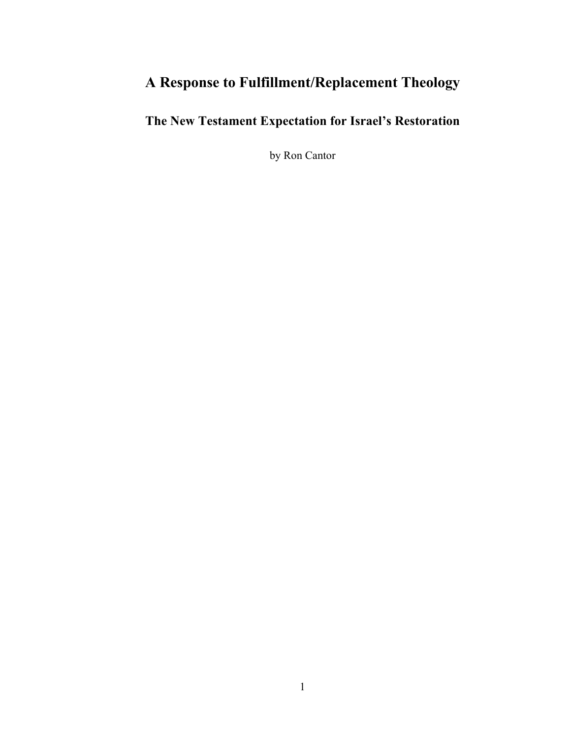# **A Response to Fulfillment/Replacement Theology**

**The New Testament Expectation for Israel's Restoration**

by Ron Cantor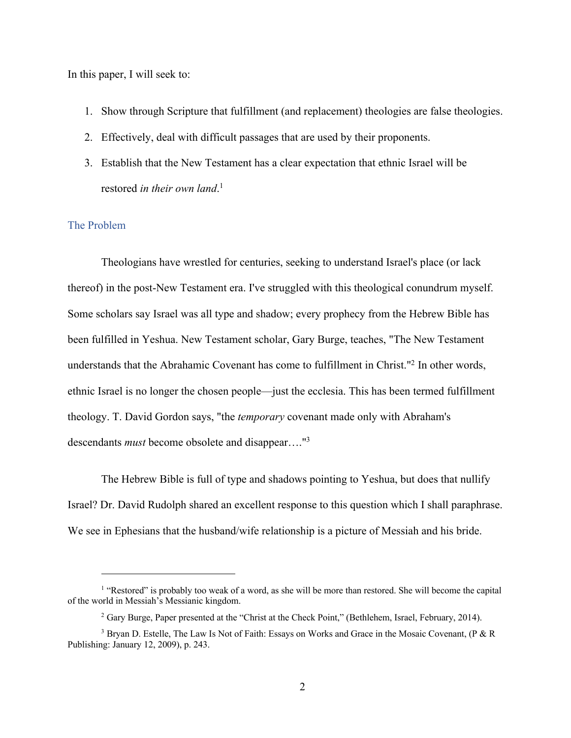In this paper, I will seek to:

- 1. Show through Scripture that fulfillment (and replacement) theologies are false theologies.
- 2. Effectively, deal with difficult passages that are used by their proponents.
- 3. Establish that the New Testament has a clear expectation that ethnic Israel will be restored *in their own land*. 1

## The Problem

Theologians have wrestled for centuries, seeking to understand Israel's place (or lack thereof) in the post-New Testament era. I've struggled with this theological conundrum myself. Some scholars say Israel was all type and shadow; every prophecy from the Hebrew Bible has been fulfilled in Yeshua. New Testament scholar, Gary Burge, teaches, "The New Testament understands that the Abrahamic Covenant has come to fulfillment in Christ."2 In other words, ethnic Israel is no longer the chosen people—just the ecclesia. This has been termed fulfillment theology. T. David Gordon says, "the *temporary* covenant made only with Abraham's descendants *must* become obsolete and disappear…."3

The Hebrew Bible is full of type and shadows pointing to Yeshua, but does that nullify Israel? Dr. David Rudolph shared an excellent response to this question which I shall paraphrase. We see in Ephesians that the husband/wife relationship is a picture of Messiah and his bride.

<sup>&</sup>lt;sup>1</sup> "Restored" is probably too weak of a word, as she will be more than restored. She will become the capital of the world in Messiah's Messianic kingdom.

<sup>&</sup>lt;sup>2</sup> Gary Burge, Paper presented at the "Christ at the Check Point," (Bethlehem, Israel, February, 2014).

<sup>3</sup> Bryan D. Estelle, The Law Is Not of Faith: Essays on Works and Grace in the Mosaic Covenant, (P & R Publishing: January 12, 2009), p. 243.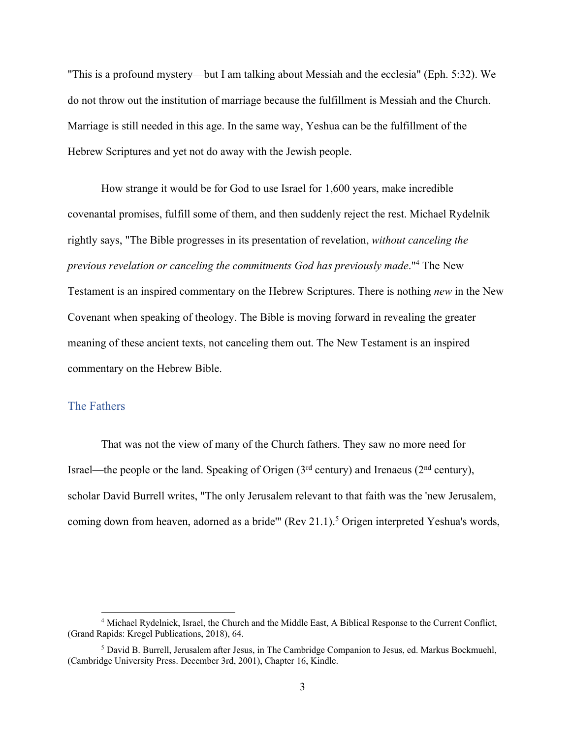"This is a profound mystery—but I am talking about Messiah and the ecclesia" (Eph. 5:32). We do not throw out the institution of marriage because the fulfillment is Messiah and the Church. Marriage is still needed in this age. In the same way, Yeshua can be the fulfillment of the Hebrew Scriptures and yet not do away with the Jewish people.

How strange it would be for God to use Israel for 1,600 years, make incredible covenantal promises, fulfill some of them, and then suddenly reject the rest. Michael Rydelnik rightly says, "The Bible progresses in its presentation of revelation, *without canceling the previous revelation or canceling the commitments God has previously made*."4 The New Testament is an inspired commentary on the Hebrew Scriptures. There is nothing *new* in the New Covenant when speaking of theology. The Bible is moving forward in revealing the greater meaning of these ancient texts, not canceling them out. The New Testament is an inspired commentary on the Hebrew Bible.

## The Fathers

That was not the view of many of the Church fathers. They saw no more need for Israel—the people or the land. Speaking of Origen  $(3<sup>rd</sup>$  century) and Irenaeus  $(2<sup>nd</sup>$  century), scholar David Burrell writes, "The only Jerusalem relevant to that faith was the 'new Jerusalem, coming down from heaven, adorned as a bride"' (Rev 21.1).<sup>5</sup> Origen interpreted Yeshua's words,

<sup>4</sup> Michael Rydelnick, Israel, the Church and the Middle East, A Biblical Response to the Current Conflict, (Grand Rapids: Kregel Publications, 2018), 64.

<sup>5</sup> David B. Burrell, Jerusalem after Jesus, in The Cambridge Companion to Jesus, ed. Markus Bockmuehl, (Cambridge University Press. December 3rd, 2001), Chapter 16, Kindle.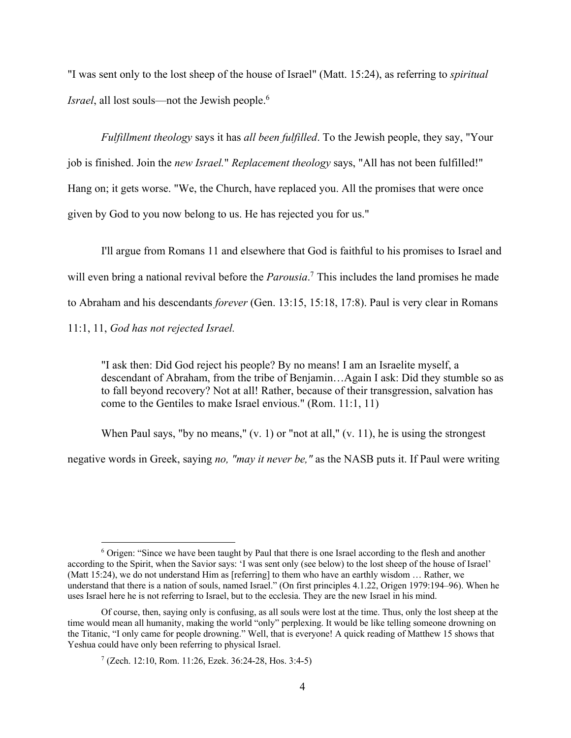"I was sent only to the lost sheep of the house of Israel" (Matt. 15:24), as referring to *spiritual Israel*, all lost souls—not the Jewish people.<sup>6</sup>

*Fulfillment theology* says it has *all been fulfilled*. To the Jewish people, they say, "Your job is finished. Join the *new Israel.*" *Replacement theology* says, "All has not been fulfilled!" Hang on; it gets worse. "We, the Church, have replaced you. All the promises that were once given by God to you now belong to us. He has rejected you for us."

I'll argue from Romans 11 and elsewhere that God is faithful to his promises to Israel and will even bring a national revival before the *Parousia*. <sup>7</sup> This includes the land promises he made to Abraham and his descendants *forever* (Gen. 13:15, 15:18, 17:8). Paul is very clear in Romans 11:1, 11, *God has not rejected Israel.* 

"I ask then: Did God reject his people? By no means! I am an Israelite myself, a descendant of Abraham, from the tribe of Benjamin…Again I ask: Did they stumble so as to fall beyond recovery? Not at all! Rather, because of their transgression, salvation has come to the Gentiles to make Israel envious." (Rom. 11:1, 11)

When Paul says, "by no means,"  $(v, 1)$  or "not at all,"  $(v, 11)$ , he is using the strongest

negative words in Greek, saying *no, "may it never be,"* as the NASB puts it. If Paul were writing

<sup>6</sup> Origen: "Since we have been taught by Paul that there is one Israel according to the flesh and another according to the Spirit, when the Savior says: 'I was sent only (see below) to the lost sheep of the house of Israel' (Matt 15:24), we do not understand Him as [referring] to them who have an earthly wisdom … Rather, we understand that there is a nation of souls, named Israel." (On first principles 4.1.22, Origen 1979:194–96). When he uses Israel here he is not referring to Israel, but to the ecclesia. They are the new Israel in his mind.

Of course, then, saying only is confusing, as all souls were lost at the time. Thus, only the lost sheep at the time would mean all humanity, making the world "only" perplexing. It would be like telling someone drowning on the Titanic, "I only came for people drowning." Well, that is everyone! A quick reading of Matthew 15 shows that Yeshua could have only been referring to physical Israel.

 $7$  (Zech. 12:10, Rom. 11:26, Ezek. 36:24-28, Hos. 3:4-5)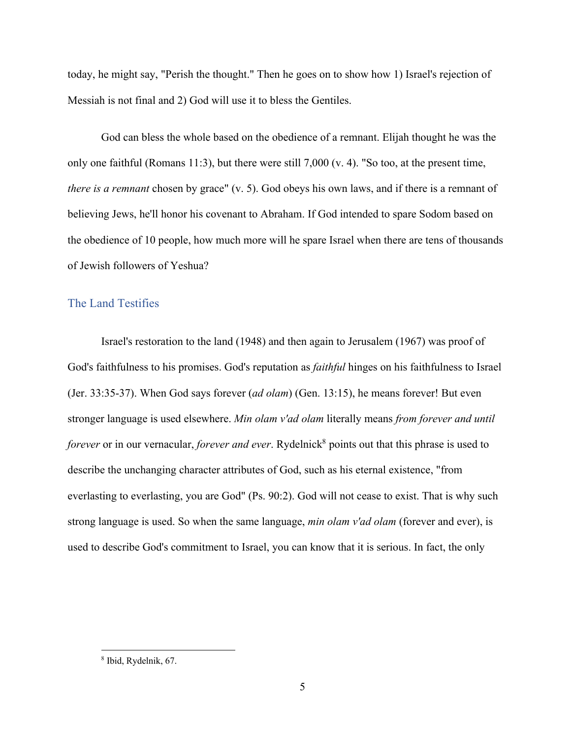today, he might say, "Perish the thought." Then he goes on to show how 1) Israel's rejection of Messiah is not final and 2) God will use it to bless the Gentiles.

God can bless the whole based on the obedience of a remnant. Elijah thought he was the only one faithful (Romans 11:3), but there were still 7,000 (v. 4). "So too, at the present time, *there is a remnant* chosen by grace" (v. 5). God obeys his own laws, and if there is a remnant of believing Jews, he'll honor his covenant to Abraham. If God intended to spare Sodom based on the obedience of 10 people, how much more will he spare Israel when there are tens of thousands of Jewish followers of Yeshua?

## The Land Testifies

Israel's restoration to the land (1948) and then again to Jerusalem (1967) was proof of God's faithfulness to his promises. God's reputation as *faithful* hinges on his faithfulness to Israel (Jer. 33:35-37). When God says forever (*ad olam*) (Gen. 13:15), he means forever! But even stronger language is used elsewhere. *Min olam v'ad olam* literally means *from forever and until forever* or in our vernacular, *forever and ever*. Rydelnick<sup>8</sup> points out that this phrase is used to describe the unchanging character attributes of God, such as his eternal existence, "from everlasting to everlasting, you are God" (Ps. 90:2). God will not cease to exist. That is why such strong language is used. So when the same language, *min olam v'ad olam* (forever and ever), is used to describe God's commitment to Israel, you can know that it is serious. In fact, the only

<sup>8</sup> Ibid, Rydelnik, 67.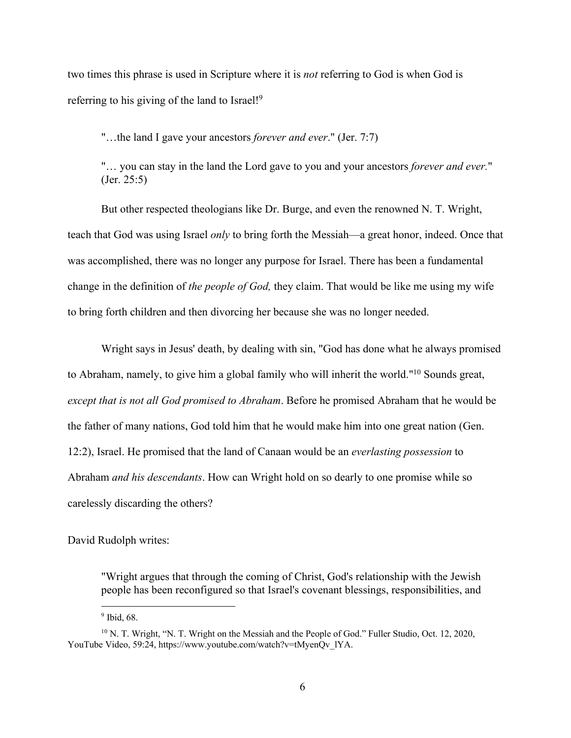two times this phrase is used in Scripture where it is *not* referring to God is when God is referring to his giving of the land to Israel!<sup>9</sup>

"…the land I gave your ancestors *forever and ever*." (Jer. 7:7)

"… you can stay in the land the Lord gave to you and your ancestors *forever and ever.*" (Jer. 25:5)

But other respected theologians like Dr. Burge, and even the renowned N. T. Wright, teach that God was using Israel *only* to bring forth the Messiah—a great honor, indeed. Once that was accomplished, there was no longer any purpose for Israel. There has been a fundamental change in the definition of *the people of God,* they claim. That would be like me using my wife to bring forth children and then divorcing her because she was no longer needed.

Wright says in Jesus' death, by dealing with sin, "God has done what he always promised to Abraham, namely, to give him a global family who will inherit the world."10 Sounds great, *except that is not all God promised to Abraham*. Before he promised Abraham that he would be the father of many nations, God told him that he would make him into one great nation (Gen. 12:2), Israel. He promised that the land of Canaan would be an *everlasting possession* to Abraham *and his descendants*. How can Wright hold on so dearly to one promise while so carelessly discarding the others?

David Rudolph writes:

"Wright argues that through the coming of Christ, God's relationship with the Jewish people has been reconfigured so that Israel's covenant blessings, responsibilities, and

<sup>&</sup>lt;sup>9</sup> Ibid, 68.

<sup>&</sup>lt;sup>10</sup> N. T. Wright, "N. T. Wright on the Messiah and the People of God." Fuller Studio, Oct. 12, 2020, YouTube Video, 59:24, https://www.youtube.com/watch?v=tMyenQv\_lYA.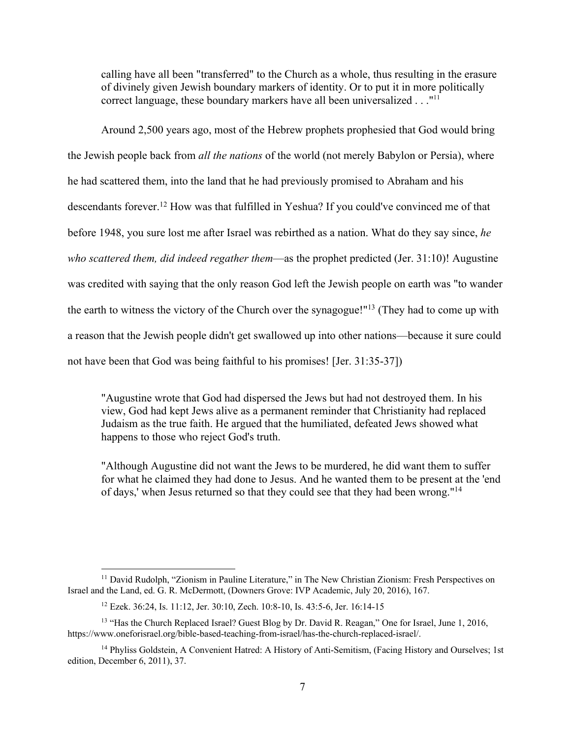calling have all been "transferred" to the Church as a whole, thus resulting in the erasure of divinely given Jewish boundary markers of identity. Or to put it in more politically correct language, these boundary markers have all been universalized . . ."<sup>11</sup>

Around 2,500 years ago, most of the Hebrew prophets prophesied that God would bring the Jewish people back from *all the nations* of the world (not merely Babylon or Persia), where he had scattered them, into the land that he had previously promised to Abraham and his descendants forever.12 How was that fulfilled in Yeshua? If you could've convinced me of that before 1948, you sure lost me after Israel was rebirthed as a nation. What do they say since, *he who scattered them, did indeed regather them*—as the prophet predicted (Jer. 31:10)! Augustine was credited with saying that the only reason God left the Jewish people on earth was "to wander the earth to witness the victory of the Church over the synagogue!"13 (They had to come up with a reason that the Jewish people didn't get swallowed up into other nations—because it sure could not have been that God was being faithful to his promises! [Jer. 31:35-37])

"Augustine wrote that God had dispersed the Jews but had not destroyed them. In his view, God had kept Jews alive as a permanent reminder that Christianity had replaced Judaism as the true faith. He argued that the humiliated, defeated Jews showed what happens to those who reject God's truth.

"Although Augustine did not want the Jews to be murdered, he did want them to suffer for what he claimed they had done to Jesus. And he wanted them to be present at the 'end of days,' when Jesus returned so that they could see that they had been wrong."14

<sup>&</sup>lt;sup>11</sup> David Rudolph, "Zionism in Pauline Literature," in The New Christian Zionism: Fresh Perspectives on Israel and the Land, ed. G. R. McDermott, (Downers Grove: IVP Academic, July 20, 2016), 167.

<sup>12</sup> Ezek. 36:24, Is. 11:12, Jer. 30:10, Zech. 10:8-10, Is. 43:5-6, Jer. 16:14-15

<sup>&</sup>lt;sup>13</sup> "Has the Church Replaced Israel? Guest Blog by Dr. David R. Reagan," One for Israel, June 1, 2016, https://www.oneforisrael.org/bible-based-teaching-from-israel/has-the-church-replaced-israel/.

<sup>&</sup>lt;sup>14</sup> Phyliss Goldstein, A Convenient Hatred: A History of Anti-Semitism, (Facing History and Ourselves; 1st edition, December 6, 2011), 37.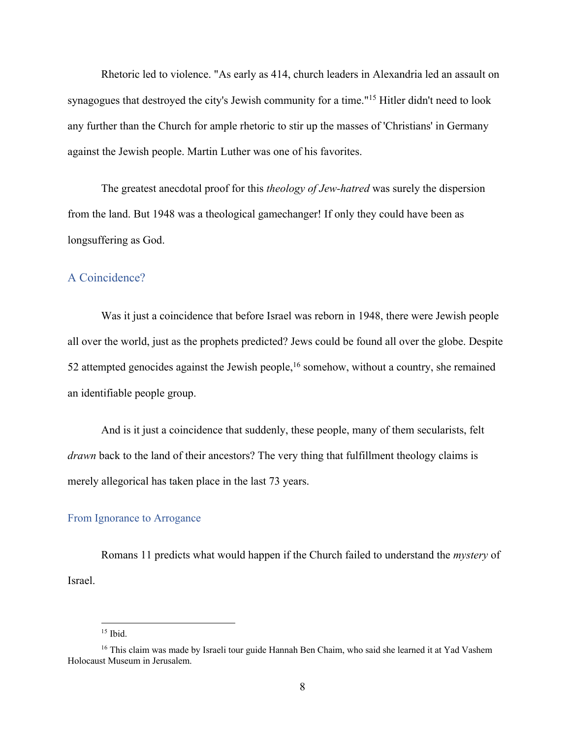Rhetoric led to violence. "As early as 414, church leaders in Alexandria led an assault on synagogues that destroyed the city's Jewish community for a time."15 Hitler didn't need to look any further than the Church for ample rhetoric to stir up the masses of 'Christians' in Germany against the Jewish people. Martin Luther was one of his favorites.

The greatest anecdotal proof for this *theology of Jew-hatred* was surely the dispersion from the land. But 1948 was a theological gamechanger! If only they could have been as longsuffering as God.

## A Coincidence?

Was it just a coincidence that before Israel was reborn in 1948, there were Jewish people all over the world, just as the prophets predicted? Jews could be found all over the globe. Despite 52 attempted genocides against the Jewish people,<sup>16</sup> somehow, without a country, she remained an identifiable people group.

And is it just a coincidence that suddenly, these people, many of them secularists, felt *drawn* back to the land of their ancestors? The very thing that fulfillment theology claims is merely allegorical has taken place in the last 73 years.

#### From Ignorance to Arrogance

Romans 11 predicts what would happen if the Church failed to understand the *mystery* of Israel.

 $15$  Ibid.

<sup>&</sup>lt;sup>16</sup> This claim was made by Israeli tour guide Hannah Ben Chaim, who said she learned it at Yad Vashem Holocaust Museum in Jerusalem.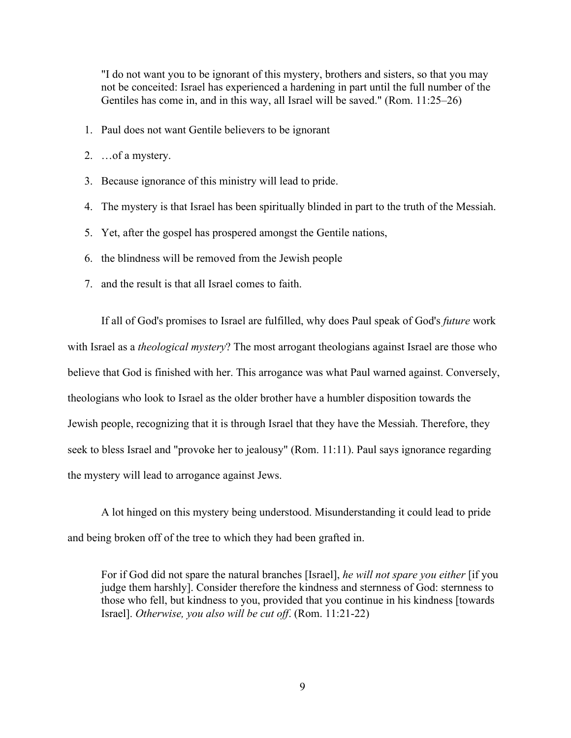"I do not want you to be ignorant of this mystery, brothers and sisters, so that you may not be conceited: Israel has experienced a hardening in part until the full number of the Gentiles has come in, and in this way, all Israel will be saved." (Rom. 11:25–26)

- 1. Paul does not want Gentile believers to be ignorant
- 2. …of a mystery.
- 3. Because ignorance of this ministry will lead to pride.
- 4. The mystery is that Israel has been spiritually blinded in part to the truth of the Messiah.
- 5. Yet, after the gospel has prospered amongst the Gentile nations,
- 6. the blindness will be removed from the Jewish people
- 7. and the result is that all Israel comes to faith.

If all of God's promises to Israel are fulfilled, why does Paul speak of God's *future* work with Israel as a *theological mystery*? The most arrogant theologians against Israel are those who believe that God is finished with her. This arrogance was what Paul warned against. Conversely, theologians who look to Israel as the older brother have a humbler disposition towards the Jewish people, recognizing that it is through Israel that they have the Messiah. Therefore, they seek to bless Israel and "provoke her to jealousy" (Rom. 11:11). Paul says ignorance regarding the mystery will lead to arrogance against Jews.

A lot hinged on this mystery being understood. Misunderstanding it could lead to pride and being broken off of the tree to which they had been grafted in.

For if God did not spare the natural branches [Israel], *he will not spare you either* [if you judge them harshly]. Consider therefore the kindness and sternness of God: sternness to those who fell, but kindness to you, provided that you continue in his kindness [towards Israel]. *Otherwise, you also will be cut off*. (Rom. 11:21-22)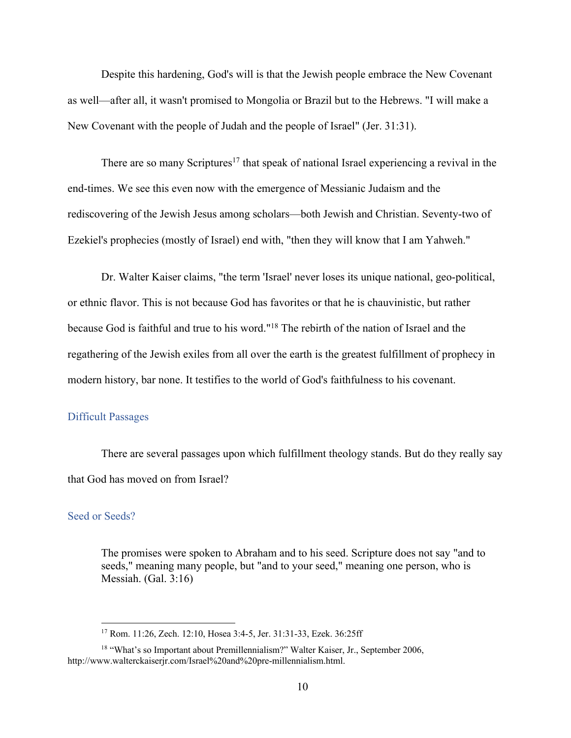Despite this hardening, God's will is that the Jewish people embrace the New Covenant as well—after all, it wasn't promised to Mongolia or Brazil but to the Hebrews. "I will make a New Covenant with the people of Judah and the people of Israel" (Jer. 31:31).

There are so many Scriptures<sup>17</sup> that speak of national Israel experiencing a revival in the end-times. We see this even now with the emergence of Messianic Judaism and the rediscovering of the Jewish Jesus among scholars—both Jewish and Christian. Seventy-two of Ezekiel's prophecies (mostly of Israel) end with, "then they will know that I am Yahweh."

Dr. Walter Kaiser claims, "the term 'Israel' never loses its unique national, geo-political, or ethnic flavor. This is not because God has favorites or that he is chauvinistic, but rather because God is faithful and true to his word."18 The rebirth of the nation of Israel and the regathering of the Jewish exiles from all over the earth is the greatest fulfillment of prophecy in modern history, bar none. It testifies to the world of God's faithfulness to his covenant.

#### Difficult Passages

There are several passages upon which fulfillment theology stands. But do they really say that God has moved on from Israel?

## Seed or Seeds?

The promises were spoken to Abraham and to his seed. Scripture does not say "and to seeds," meaning many people, but "and to your seed," meaning one person, who is Messiah. (Gal. 3:16)

<sup>17</sup> Rom. 11:26, Zech. 12:10, Hosea 3:4-5, Jer. 31:31-33, Ezek. 36:25ff

<sup>&</sup>lt;sup>18</sup> "What's so Important about Premillennialism?" Walter Kaiser, Jr., September 2006, http://www.walterckaiserjr.com/Israel%20and%20pre-millennialism.html.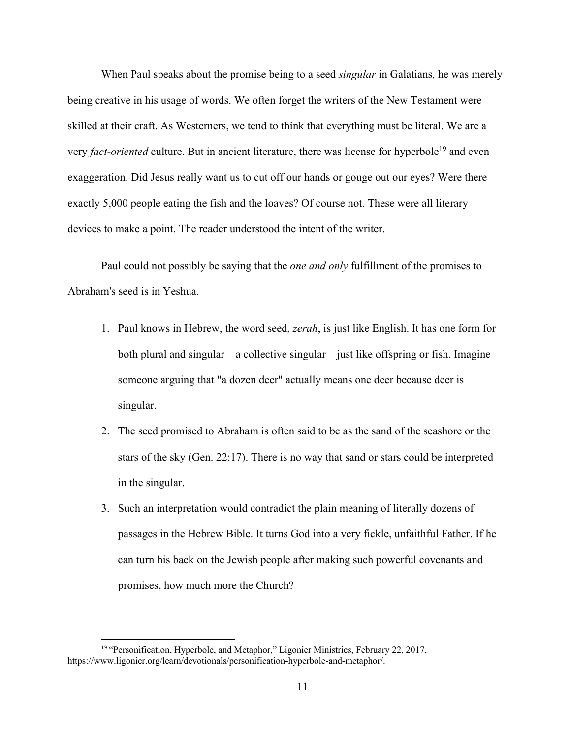When Paul speaks about the promise being to a seed *singular* in Galatians*,* he was merely being creative in his usage of words. We often forget the writers of the New Testament were skilled at their craft. As Westerners, we tend to think that everything must be literal. We are a very *fact-oriented* culture. But in ancient literature, there was license for hyperbole<sup>19</sup> and even exaggeration. Did Jesus really want us to cut off our hands or gouge out our eyes? Were there exactly 5,000 people eating the fish and the loaves? Of course not. These were all literary devices to make a point. The reader understood the intent of the writer.

Paul could not possibly be saying that the *one and only* fulfillment of the promises to Abraham's seed is in Yeshua.

- 1. Paul knows in Hebrew, the word seed, *zerah*, is just like English. It has one form for both plural and singular—a collective singular—just like offspring or fish. Imagine someone arguing that "a dozen deer" actually means one deer because deer is singular.
- 2. The seed promised to Abraham is often said to be as the sand of the seashore or the stars of the sky (Gen. 22:17). There is no way that sand or stars could be interpreted in the singular.
- 3. Such an interpretation would contradict the plain meaning of literally dozens of passages in the Hebrew Bible. It turns God into a very fickle, unfaithful Father. If he can turn his back on the Jewish people after making such powerful covenants and promises, how much more the Church?

<sup>&</sup>lt;sup>19</sup> "Personification, Hyperbole, and Metaphor," Ligonier Ministries, February 22, 2017, https://www.ligonier.org/learn/devotionals/personification-hyperbole-and-metaphor/.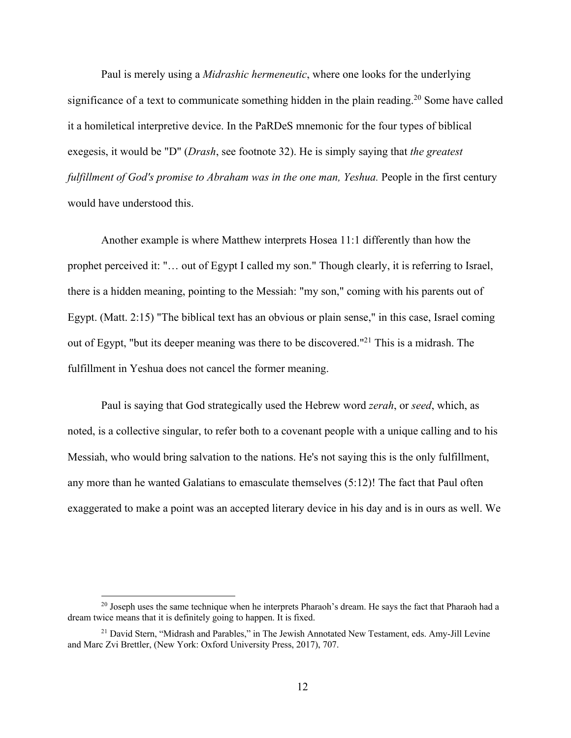Paul is merely using a *Midrashic hermeneutic*, where one looks for the underlying significance of a text to communicate something hidden in the plain reading.<sup>20</sup> Some have called it a homiletical interpretive device. In the PaRDeS mnemonic for the four types of biblical exegesis, it would be "D" (*Drash*, see footnote 32). He is simply saying that *the greatest fulfillment of God's promise to Abraham was in the one man, Yeshua.* People in the first century would have understood this.

Another example is where Matthew interprets Hosea 11:1 differently than how the prophet perceived it: "… out of Egypt I called my son." Though clearly, it is referring to Israel, there is a hidden meaning, pointing to the Messiah: "my son," coming with his parents out of Egypt. (Matt. 2:15) "The biblical text has an obvious or plain sense," in this case, Israel coming out of Egypt, "but its deeper meaning was there to be discovered."21 This is a midrash. The fulfillment in Yeshua does not cancel the former meaning.

Paul is saying that God strategically used the Hebrew word *zerah*, or *seed*, which, as noted, is a collective singular, to refer both to a covenant people with a unique calling and to his Messiah, who would bring salvation to the nations. He's not saying this is the only fulfillment, any more than he wanted Galatians to emasculate themselves (5:12)! The fact that Paul often exaggerated to make a point was an accepted literary device in his day and is in ours as well. We

 $^{20}$  Joseph uses the same technique when he interprets Pharaoh's dream. He says the fact that Pharaoh had a dream twice means that it is definitely going to happen. It is fixed.

<sup>&</sup>lt;sup>21</sup> David Stern, "Midrash and Parables," in The Jewish Annotated New Testament, eds. Amy-Jill Levine and Marc Zvi Brettler, (New York: Oxford University Press, 2017), 707.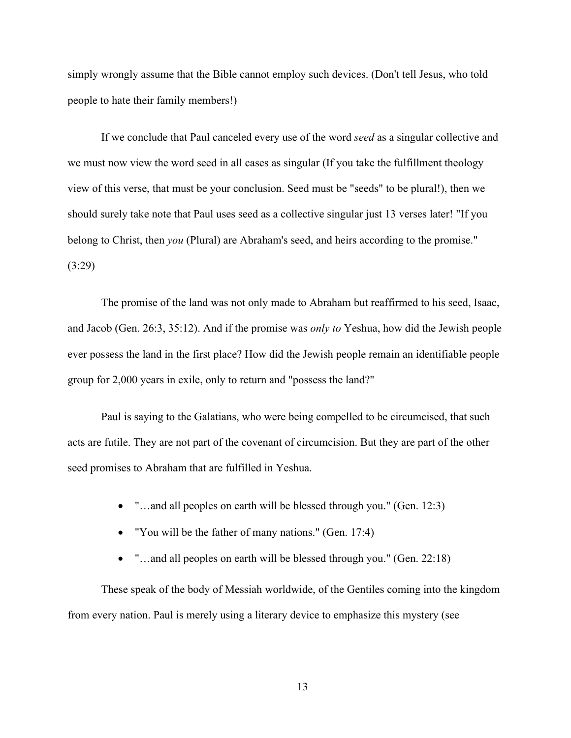simply wrongly assume that the Bible cannot employ such devices. (Don't tell Jesus, who told people to hate their family members!)

If we conclude that Paul canceled every use of the word *seed* as a singular collective and we must now view the word seed in all cases as singular (If you take the fulfillment theology view of this verse, that must be your conclusion. Seed must be "seeds" to be plural!), then we should surely take note that Paul uses seed as a collective singular just 13 verses later! "If you belong to Christ, then *you* (Plural) are Abraham's seed, and heirs according to the promise." (3:29)

The promise of the land was not only made to Abraham but reaffirmed to his seed, Isaac, and Jacob (Gen. 26:3, 35:12). And if the promise was *only to* Yeshua, how did the Jewish people ever possess the land in the first place? How did the Jewish people remain an identifiable people group for 2,000 years in exile, only to return and "possess the land?"

Paul is saying to the Galatians, who were being compelled to be circumcised, that such acts are futile. They are not part of the covenant of circumcision. But they are part of the other seed promises to Abraham that are fulfilled in Yeshua.

- "…and all peoples on earth will be blessed through you." (Gen. 12:3)
- "You will be the father of many nations." (Gen. 17:4)
- "...and all peoples on earth will be blessed through you." (Gen. 22:18)

These speak of the body of Messiah worldwide, of the Gentiles coming into the kingdom from every nation. Paul is merely using a literary device to emphasize this mystery (see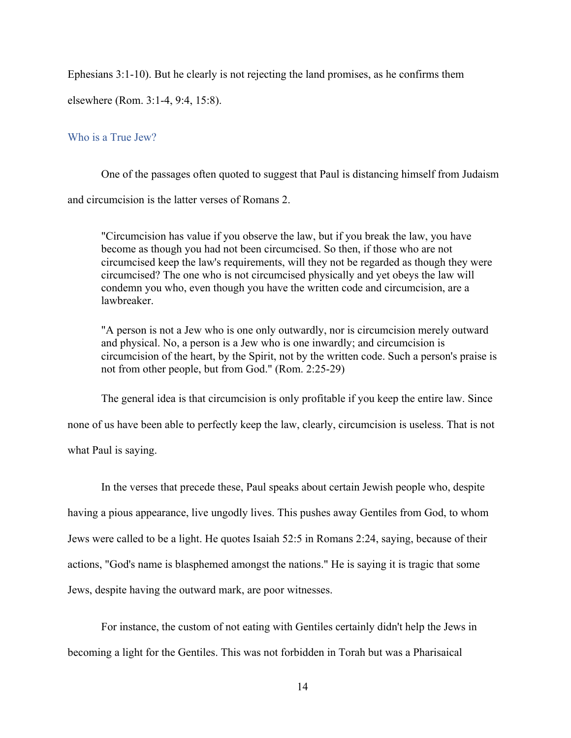Ephesians 3:1-10). But he clearly is not rejecting the land promises, as he confirms them

elsewhere (Rom. 3:1-4, 9:4, 15:8).

#### Who is a True Jew?

One of the passages often quoted to suggest that Paul is distancing himself from Judaism and circumcision is the latter verses of Romans 2.

"Circumcision has value if you observe the law, but if you break the law, you have become as though you had not been circumcised. So then, if those who are not circumcised keep the law's requirements, will they not be regarded as though they were circumcised? The one who is not circumcised physically and yet obeys the law will condemn you who, even though you have the written code and circumcision, are a lawbreaker.

"A person is not a Jew who is one only outwardly, nor is circumcision merely outward and physical. No, a person is a Jew who is one inwardly; and circumcision is circumcision of the heart, by the Spirit, not by the written code. Such a person's praise is not from other people, but from God." (Rom. 2:25-29)

The general idea is that circumcision is only profitable if you keep the entire law. Since

none of us have been able to perfectly keep the law, clearly, circumcision is useless. That is not

what Paul is saying.

In the verses that precede these, Paul speaks about certain Jewish people who, despite having a pious appearance, live ungodly lives. This pushes away Gentiles from God, to whom Jews were called to be a light. He quotes Isaiah 52:5 in Romans 2:24, saying, because of their actions, "God's name is blasphemed amongst the nations." He is saying it is tragic that some Jews, despite having the outward mark, are poor witnesses.

For instance, the custom of not eating with Gentiles certainly didn't help the Jews in becoming a light for the Gentiles. This was not forbidden in Torah but was a Pharisaical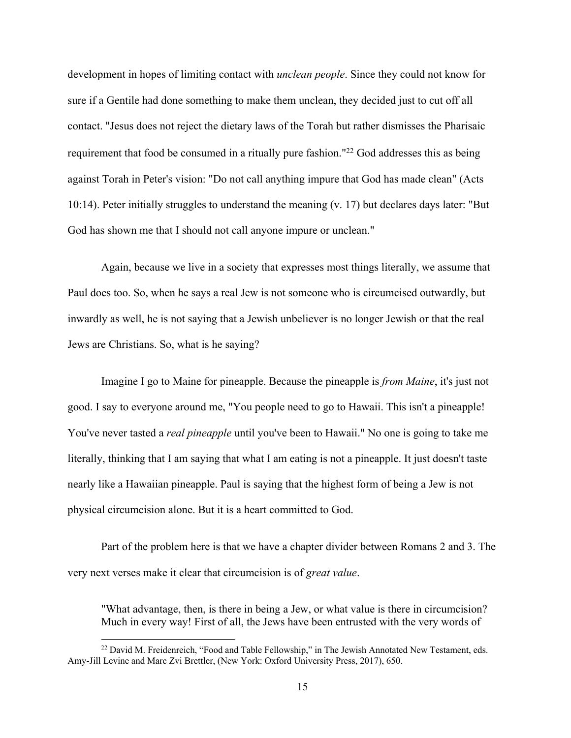development in hopes of limiting contact with *unclean people*. Since they could not know for sure if a Gentile had done something to make them unclean, they decided just to cut off all contact. "Jesus does not reject the dietary laws of the Torah but rather dismisses the Pharisaic requirement that food be consumed in a ritually pure fashion."<sup>22</sup> God addresses this as being against Torah in Peter's vision: "Do not call anything impure that God has made clean" (Acts 10:14). Peter initially struggles to understand the meaning (v. 17) but declares days later: "But God has shown me that I should not call anyone impure or unclean."

Again, because we live in a society that expresses most things literally, we assume that Paul does too. So, when he says a real Jew is not someone who is circumcised outwardly, but inwardly as well, he is not saying that a Jewish unbeliever is no longer Jewish or that the real Jews are Christians. So, what is he saying?

Imagine I go to Maine for pineapple. Because the pineapple is *from Maine*, it's just not good. I say to everyone around me, "You people need to go to Hawaii. This isn't a pineapple! You've never tasted a *real pineapple* until you've been to Hawaii." No one is going to take me literally, thinking that I am saying that what I am eating is not a pineapple. It just doesn't taste nearly like a Hawaiian pineapple. Paul is saying that the highest form of being a Jew is not physical circumcision alone. But it is a heart committed to God.

Part of the problem here is that we have a chapter divider between Romans 2 and 3. The very next verses make it clear that circumcision is of *great value*.

"What advantage, then, is there in being a Jew, or what value is there in circumcision? Much in every way! First of all, the Jews have been entrusted with the very words of

<sup>&</sup>lt;sup>22</sup> David M. Freidenreich, "Food and Table Fellowship," in The Jewish Annotated New Testament, eds. Amy-Jill Levine and Marc Zvi Brettler, (New York: Oxford University Press, 2017), 650.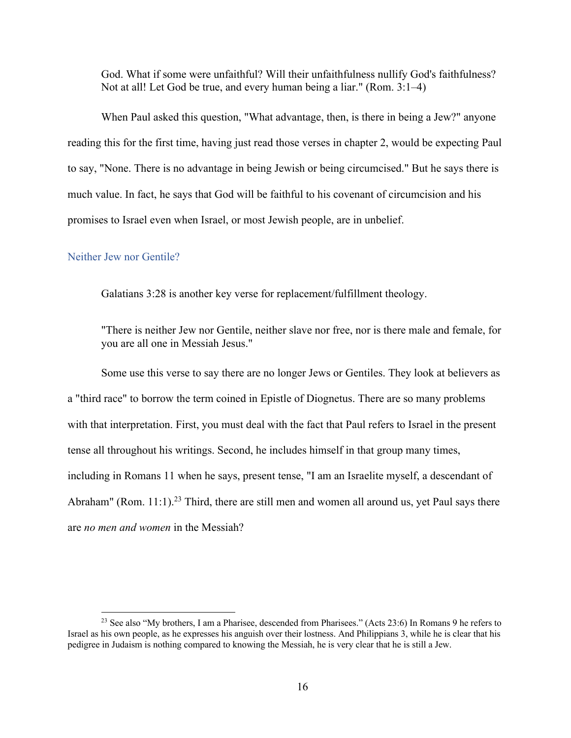God. What if some were unfaithful? Will their unfaithfulness nullify God's faithfulness? Not at all! Let God be true, and every human being a liar." (Rom. 3:1–4)

When Paul asked this question, "What advantage, then, is there in being a Jew?" anyone reading this for the first time, having just read those verses in chapter 2, would be expecting Paul to say, "None. There is no advantage in being Jewish or being circumcised." But he says there is much value. In fact, he says that God will be faithful to his covenant of circumcision and his promises to Israel even when Israel, or most Jewish people, are in unbelief.

#### Neither Jew nor Gentile?

Galatians 3:28 is another key verse for replacement/fulfillment theology.

"There is neither Jew nor Gentile, neither slave nor free, nor is there male and female, for you are all one in Messiah Jesus."

Some use this verse to say there are no longer Jews or Gentiles. They look at believers as a "third race" to borrow the term coined in Epistle of Diognetus. There are so many problems with that interpretation. First, you must deal with the fact that Paul refers to Israel in the present tense all throughout his writings. Second, he includes himself in that group many times, including in Romans 11 when he says, present tense, "I am an Israelite myself, a descendant of Abraham" (Rom. 11:1).<sup>23</sup> Third, there are still men and women all around us, yet Paul says there are *no men and women* in the Messiah?

<sup>&</sup>lt;sup>23</sup> See also "My brothers, I am a Pharisee, descended from Pharisees." (Acts 23:6) In Romans 9 he refers to Israel as his own people, as he expresses his anguish over their lostness. And Philippians 3, while he is clear that his pedigree in Judaism is nothing compared to knowing the Messiah, he is very clear that he is still a Jew.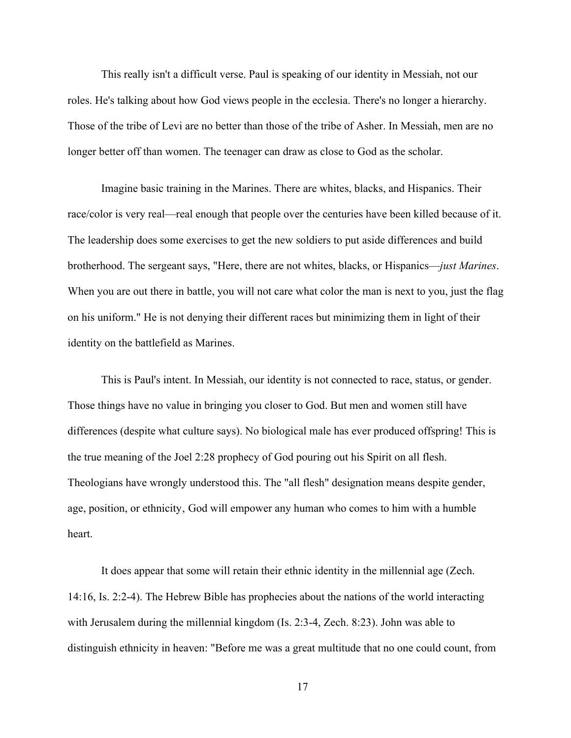This really isn't a difficult verse. Paul is speaking of our identity in Messiah, not our roles. He's talking about how God views people in the ecclesia. There's no longer a hierarchy. Those of the tribe of Levi are no better than those of the tribe of Asher. In Messiah, men are no longer better off than women. The teenager can draw as close to God as the scholar.

Imagine basic training in the Marines. There are whites, blacks, and Hispanics. Their race/color is very real—real enough that people over the centuries have been killed because of it. The leadership does some exercises to get the new soldiers to put aside differences and build brotherhood. The sergeant says, "Here, there are not whites, blacks, or Hispanics—*just Marines*. When you are out there in battle, you will not care what color the man is next to you, just the flag on his uniform." He is not denying their different races but minimizing them in light of their identity on the battlefield as Marines.

This is Paul's intent. In Messiah, our identity is not connected to race, status, or gender. Those things have no value in bringing you closer to God. But men and women still have differences (despite what culture says). No biological male has ever produced offspring! This is the true meaning of the Joel 2:28 prophecy of God pouring out his Spirit on all flesh. Theologians have wrongly understood this. The "all flesh" designation means despite gender, age, position, or ethnicity, God will empower any human who comes to him with a humble heart.

It does appear that some will retain their ethnic identity in the millennial age (Zech. 14:16, Is. 2:2-4). The Hebrew Bible has prophecies about the nations of the world interacting with Jerusalem during the millennial kingdom (Is. 2:3-4, Zech. 8:23). John was able to distinguish ethnicity in heaven: "Before me was a great multitude that no one could count, from

17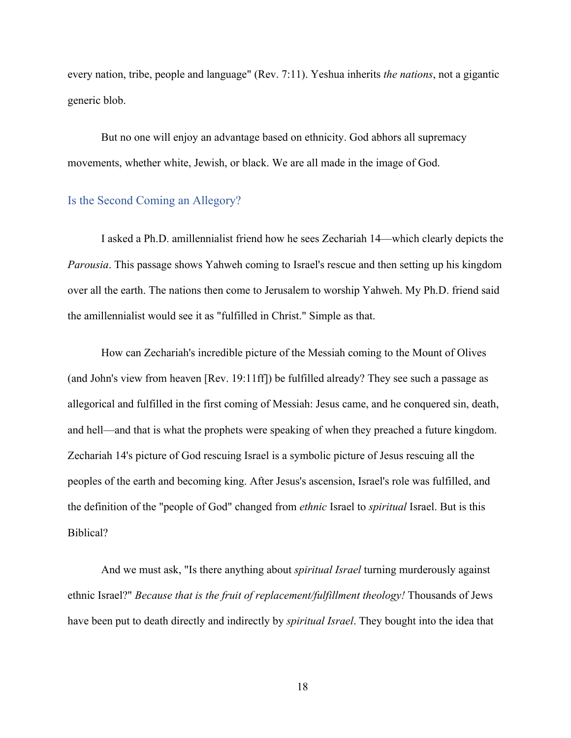every nation, tribe, people and language" (Rev. 7:11). Yeshua inherits *the nations*, not a gigantic generic blob.

But no one will enjoy an advantage based on ethnicity. God abhors all supremacy movements, whether white, Jewish, or black. We are all made in the image of God.

## Is the Second Coming an Allegory?

I asked a Ph.D. amillennialist friend how he sees Zechariah 14—which clearly depicts the *Parousia*. This passage shows Yahweh coming to Israel's rescue and then setting up his kingdom over all the earth. The nations then come to Jerusalem to worship Yahweh. My Ph.D. friend said the amillennialist would see it as "fulfilled in Christ." Simple as that.

How can Zechariah's incredible picture of the Messiah coming to the Mount of Olives (and John's view from heaven [Rev. 19:11ff]) be fulfilled already? They see such a passage as allegorical and fulfilled in the first coming of Messiah: Jesus came, and he conquered sin, death, and hell—and that is what the prophets were speaking of when they preached a future kingdom. Zechariah 14's picture of God rescuing Israel is a symbolic picture of Jesus rescuing all the peoples of the earth and becoming king. After Jesus's ascension, Israel's role was fulfilled, and the definition of the "people of God" changed from *ethnic* Israel to *spiritual* Israel. But is this Biblical?

And we must ask, "Is there anything about *spiritual Israel* turning murderously against ethnic Israel?" *Because that is the fruit of replacement/fulfillment theology!* Thousands of Jews have been put to death directly and indirectly by *spiritual Israel*. They bought into the idea that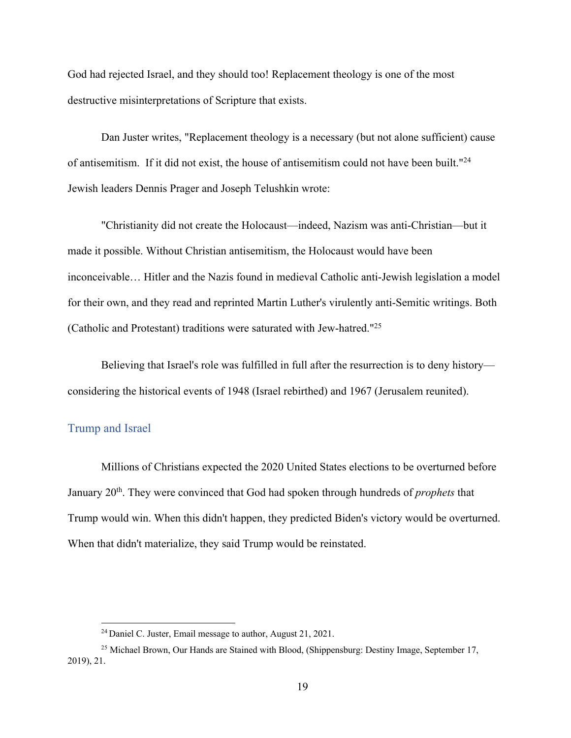God had rejected Israel, and they should too! Replacement theology is one of the most destructive misinterpretations of Scripture that exists.

Dan Juster writes, "Replacement theology is a necessary (but not alone sufficient) cause of antisemitism. If it did not exist, the house of antisemitism could not have been built."24 Jewish leaders Dennis Prager and Joseph Telushkin wrote:

"Christianity did not create the Holocaust—indeed, Nazism was anti-Christian—but it made it possible. Without Christian antisemitism, the Holocaust would have been inconceivable… Hitler and the Nazis found in medieval Catholic anti-Jewish legislation a model for their own, and they read and reprinted Martin Luther's virulently anti-Semitic writings. Both (Catholic and Protestant) traditions were saturated with Jew-hatred."25

Believing that Israel's role was fulfilled in full after the resurrection is to deny history considering the historical events of 1948 (Israel rebirthed) and 1967 (Jerusalem reunited).

# Trump and Israel

Millions of Christians expected the 2020 United States elections to be overturned before January 20th. They were convinced that God had spoken through hundreds of *prophets* that Trump would win. When this didn't happen, they predicted Biden's victory would be overturned. When that didn't materialize, they said Trump would be reinstated.

<sup>24</sup> Daniel C. Juster, Email message to author, August 21, 2021.

<sup>&</sup>lt;sup>25</sup> Michael Brown, Our Hands are Stained with Blood, (Shippensburg: Destiny Image, September 17, 2019), 21.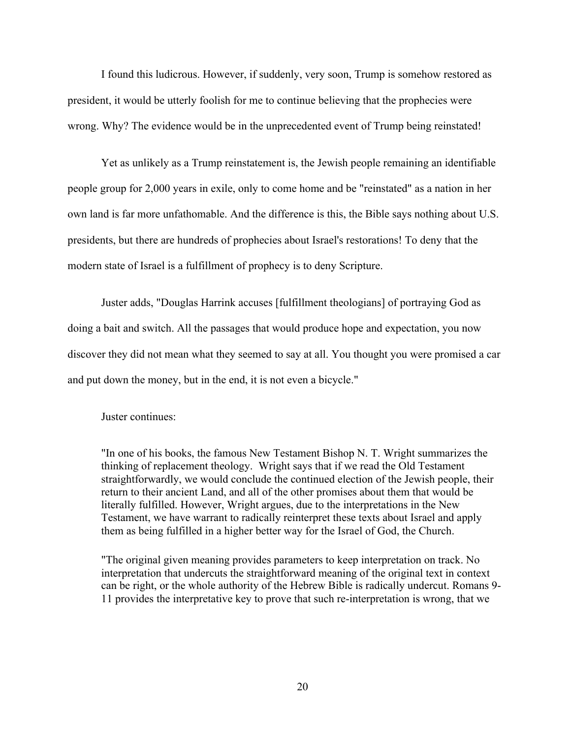I found this ludicrous. However, if suddenly, very soon, Trump is somehow restored as president, it would be utterly foolish for me to continue believing that the prophecies were wrong. Why? The evidence would be in the unprecedented event of Trump being reinstated!

Yet as unlikely as a Trump reinstatement is, the Jewish people remaining an identifiable people group for 2,000 years in exile, only to come home and be "reinstated" as a nation in her own land is far more unfathomable. And the difference is this, the Bible says nothing about U.S. presidents, but there are hundreds of prophecies about Israel's restorations! To deny that the modern state of Israel is a fulfillment of prophecy is to deny Scripture.

Juster adds, "Douglas Harrink accuses [fulfillment theologians] of portraying God as doing a bait and switch. All the passages that would produce hope and expectation, you now discover they did not mean what they seemed to say at all. You thought you were promised a car and put down the money, but in the end, it is not even a bicycle."

Juster continues:

"In one of his books, the famous New Testament Bishop N. T. Wright summarizes the thinking of replacement theology. Wright says that if we read the Old Testament straightforwardly, we would conclude the continued election of the Jewish people, their return to their ancient Land, and all of the other promises about them that would be literally fulfilled. However, Wright argues, due to the interpretations in the New Testament, we have warrant to radically reinterpret these texts about Israel and apply them as being fulfilled in a higher better way for the Israel of God, the Church.

"The original given meaning provides parameters to keep interpretation on track. No interpretation that undercuts the straightforward meaning of the original text in context can be right, or the whole authority of the Hebrew Bible is radically undercut. Romans 9- 11 provides the interpretative key to prove that such re-interpretation is wrong, that we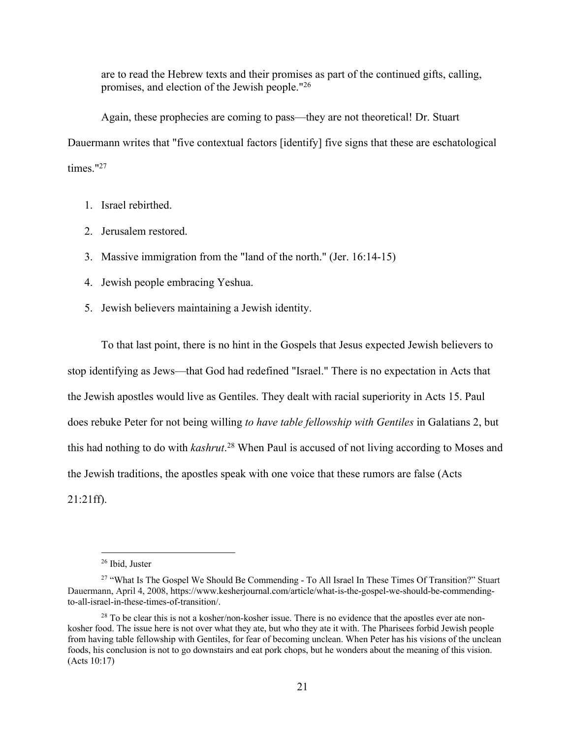are to read the Hebrew texts and their promises as part of the continued gifts, calling, promises, and election of the Jewish people."26

Again, these prophecies are coming to pass—they are not theoretical! Dr. Stuart Dauermann writes that "five contextual factors [identify] five signs that these are eschatological times."27

- 1. Israel rebirthed.
- 2. Jerusalem restored.
- 3. Massive immigration from the "land of the north." (Jer. 16:14-15)
- 4. Jewish people embracing Yeshua.
- 5. Jewish believers maintaining a Jewish identity.

To that last point, there is no hint in the Gospels that Jesus expected Jewish believers to stop identifying as Jews—that God had redefined "Israel." There is no expectation in Acts that the Jewish apostles would live as Gentiles. They dealt with racial superiority in Acts 15. Paul does rebuke Peter for not being willing *to have table fellowship with Gentiles* in Galatians 2, but this had nothing to do with *kashrut*. <sup>28</sup> When Paul is accused of not living according to Moses and the Jewish traditions, the apostles speak with one voice that these rumors are false (Acts 21:21ff).

<sup>26</sup> Ibid, Juster

<sup>&</sup>lt;sup>27</sup> "What Is The Gospel We Should Be Commending - To All Israel In These Times Of Transition?" Stuart Dauermann, April 4, 2008, https://www.kesherjournal.com/article/what-is-the-gospel-we-should-be-commendingto-all-israel-in-these-times-of-transition/.

 $28$  To be clear this is not a kosher/non-kosher issue. There is no evidence that the apostles ever ate nonkosher food. The issue here is not over what they ate, but who they ate it with. The Pharisees forbid Jewish people from having table fellowship with Gentiles, for fear of becoming unclean. When Peter has his visions of the unclean foods, his conclusion is not to go downstairs and eat pork chops, but he wonders about the meaning of this vision. (Acts 10:17)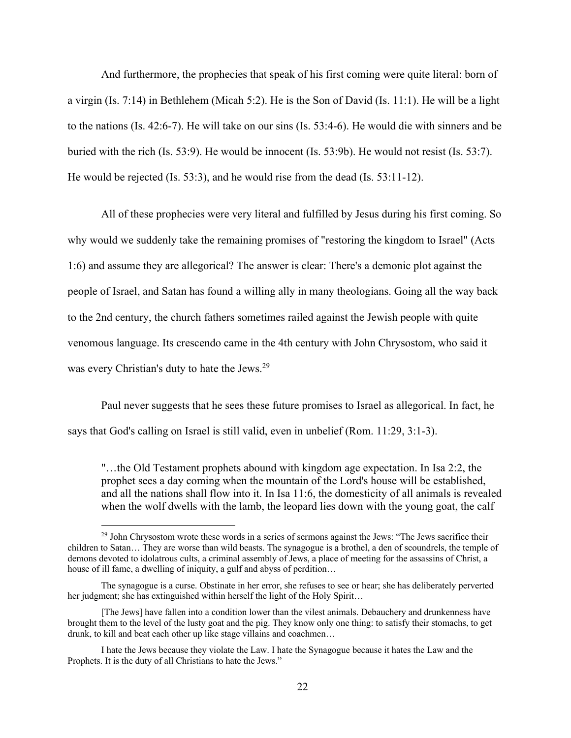And furthermore, the prophecies that speak of his first coming were quite literal: born of a virgin (Is. 7:14) in Bethlehem (Micah 5:2). He is the Son of David (Is. 11:1). He will be a light to the nations (Is. 42:6-7). He will take on our sins (Is. 53:4-6). He would die with sinners and be buried with the rich (Is. 53:9). He would be innocent (Is. 53:9b). He would not resist (Is. 53:7). He would be rejected (Is. 53:3), and he would rise from the dead (Is. 53:11-12).

All of these prophecies were very literal and fulfilled by Jesus during his first coming. So why would we suddenly take the remaining promises of "restoring the kingdom to Israel" (Acts 1:6) and assume they are allegorical? The answer is clear: There's a demonic plot against the people of Israel, and Satan has found a willing ally in many theologians. Going all the way back to the 2nd century, the church fathers sometimes railed against the Jewish people with quite venomous language. Its crescendo came in the 4th century with John Chrysostom, who said it was every Christian's duty to hate the Jews.<sup>29</sup>

Paul never suggests that he sees these future promises to Israel as allegorical. In fact, he says that God's calling on Israel is still valid, even in unbelief (Rom. 11:29, 3:1-3).

"…the Old Testament prophets abound with kingdom age expectation. In Isa 2:2, the prophet sees a day coming when the mountain of the Lord's house will be established, and all the nations shall flow into it. In Isa 11:6, the domesticity of all animals is revealed when the wolf dwells with the lamb, the leopard lies down with the young goat, the calf

<sup>&</sup>lt;sup>29</sup> John Chrysostom wrote these words in a series of sermons against the Jews: "The Jews sacrifice their children to Satan… They are worse than wild beasts. The synagogue is a brothel, a den of scoundrels, the temple of demons devoted to idolatrous cults, a criminal assembly of Jews, a place of meeting for the assassins of Christ, a house of ill fame, a dwelling of iniquity, a gulf and abyss of perdition…

The synagogue is a curse. Obstinate in her error, she refuses to see or hear; she has deliberately perverted her judgment; she has extinguished within herself the light of the Holy Spirit…

<sup>[</sup>The Jews] have fallen into a condition lower than the vilest animals. Debauchery and drunkenness have brought them to the level of the lusty goat and the pig. They know only one thing: to satisfy their stomachs, to get drunk, to kill and beat each other up like stage villains and coachmen…

I hate the Jews because they violate the Law. I hate the Synagogue because it hates the Law and the Prophets. It is the duty of all Christians to hate the Jews."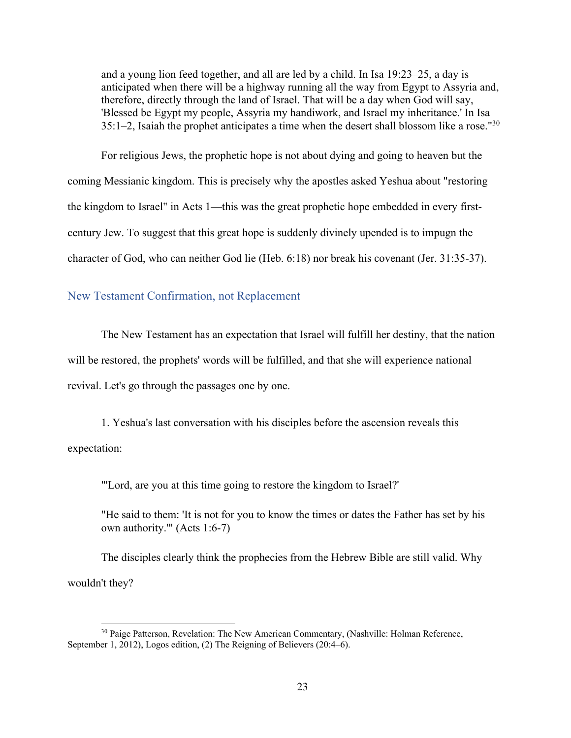and a young lion feed together, and all are led by a child. In Isa 19:23–25, a day is anticipated when there will be a highway running all the way from Egypt to Assyria and, therefore, directly through the land of Israel. That will be a day when God will say, 'Blessed be Egypt my people, Assyria my handiwork, and Israel my inheritance.' In Isa  $35:1-2$ , Isaiah the prophet anticipates a time when the desert shall blossom like a rose."<sup>30</sup>

For religious Jews, the prophetic hope is not about dying and going to heaven but the coming Messianic kingdom. This is precisely why the apostles asked Yeshua about "restoring the kingdom to Israel" in Acts 1—this was the great prophetic hope embedded in every firstcentury Jew. To suggest that this great hope is suddenly divinely upended is to impugn the character of God, who can neither God lie (Heb. 6:18) nor break his covenant (Jer. 31:35-37).

#### New Testament Confirmation, not Replacement

The New Testament has an expectation that Israel will fulfill her destiny, that the nation will be restored, the prophets' words will be fulfilled, and that she will experience national revival. Let's go through the passages one by one.

1. Yeshua's last conversation with his disciples before the ascension reveals this expectation:

"'Lord, are you at this time going to restore the kingdom to Israel?'

"He said to them: 'It is not for you to know the times or dates the Father has set by his own authority.'" (Acts 1:6-7)

The disciples clearly think the prophecies from the Hebrew Bible are still valid. Why wouldn't they?

<sup>&</sup>lt;sup>30</sup> Paige Patterson, Revelation: The New American Commentary, (Nashville: Holman Reference, September 1, 2012), Logos edition, (2) The Reigning of Believers (20:4–6).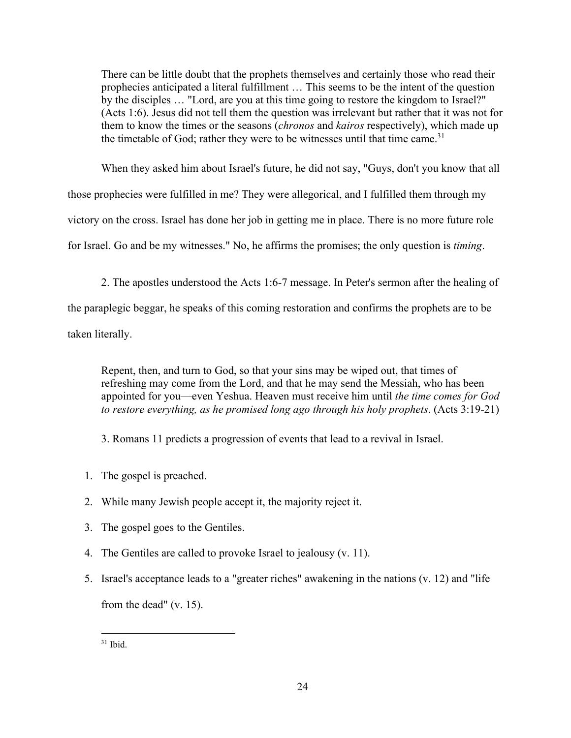There can be little doubt that the prophets themselves and certainly those who read their prophecies anticipated a literal fulfillment … This seems to be the intent of the question by the disciples … "Lord, are you at this time going to restore the kingdom to Israel?" (Acts 1:6). Jesus did not tell them the question was irrelevant but rather that it was not for them to know the times or the seasons (*chronos* and *kairos* respectively), which made up the timetable of God; rather they were to be witnesses until that time came.<sup>31</sup>

When they asked him about Israel's future, he did not say, "Guys, don't you know that all those prophecies were fulfilled in me? They were allegorical, and I fulfilled them through my victory on the cross. Israel has done her job in getting me in place. There is no more future role for Israel. Go and be my witnesses." No, he affirms the promises; the only question is *timing*.

2. The apostles understood the Acts 1:6-7 message. In Peter's sermon after the healing of the paraplegic beggar, he speaks of this coming restoration and confirms the prophets are to be taken literally.

Repent, then, and turn to God, so that your sins may be wiped out, that times of refreshing may come from the Lord, and that he may send the Messiah, who has been appointed for you—even Yeshua. Heaven must receive him until *the time comes for God to restore everything, as he promised long ago through his holy prophets*. (Acts 3:19-21)

3. Romans 11 predicts a progression of events that lead to a revival in Israel.

- 1. The gospel is preached.
- 2. While many Jewish people accept it, the majority reject it.
- 3. The gospel goes to the Gentiles.
- 4. The Gentiles are called to provoke Israel to jealousy (v. 11).
- 5. Israel's acceptance leads to a "greater riches" awakening in the nations (v. 12) and "life from the dead" (v. 15).

 $31$  Ibid.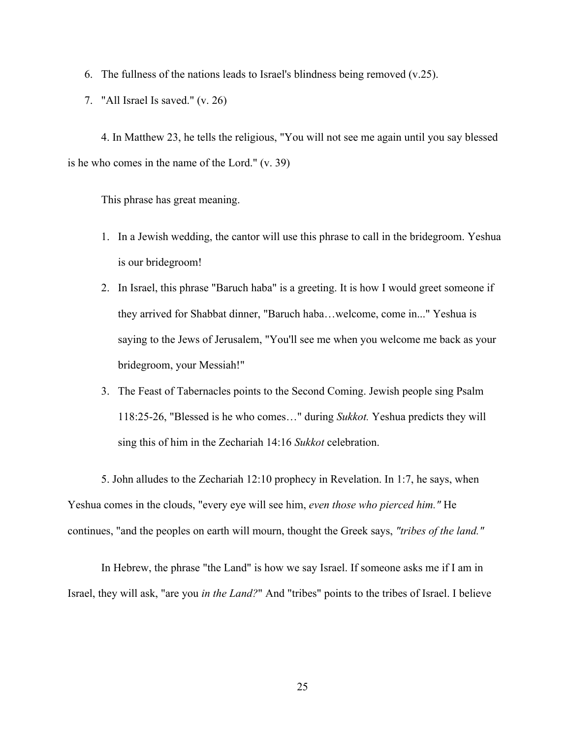6. The fullness of the nations leads to Israel's blindness being removed (v.25).

7. "All Israel Is saved." (v. 26)

4. In Matthew 23, he tells the religious, "You will not see me again until you say blessed is he who comes in the name of the Lord." (v. 39)

This phrase has great meaning.

- 1. In a Jewish wedding, the cantor will use this phrase to call in the bridegroom. Yeshua is our bridegroom!
- 2. In Israel, this phrase "Baruch haba" is a greeting. It is how I would greet someone if they arrived for Shabbat dinner, "Baruch haba…welcome, come in..." Yeshua is saying to the Jews of Jerusalem, "You'll see me when you welcome me back as your bridegroom, your Messiah!"
- 3. The Feast of Tabernacles points to the Second Coming. Jewish people sing Psalm 118:25-26, "Blessed is he who comes…" during *Sukkot.* Yeshua predicts they will sing this of him in the Zechariah 14:16 *Sukkot* celebration.

5. John alludes to the Zechariah 12:10 prophecy in Revelation. In 1:7, he says, when Yeshua comes in the clouds, "every eye will see him, *even those who pierced him."* He continues, "and the peoples on earth will mourn, thought the Greek says, *"tribes of the land."*

In Hebrew, the phrase "the Land" is how we say Israel. If someone asks me if I am in Israel, they will ask, "are you *in the Land?*" And "tribes" points to the tribes of Israel. I believe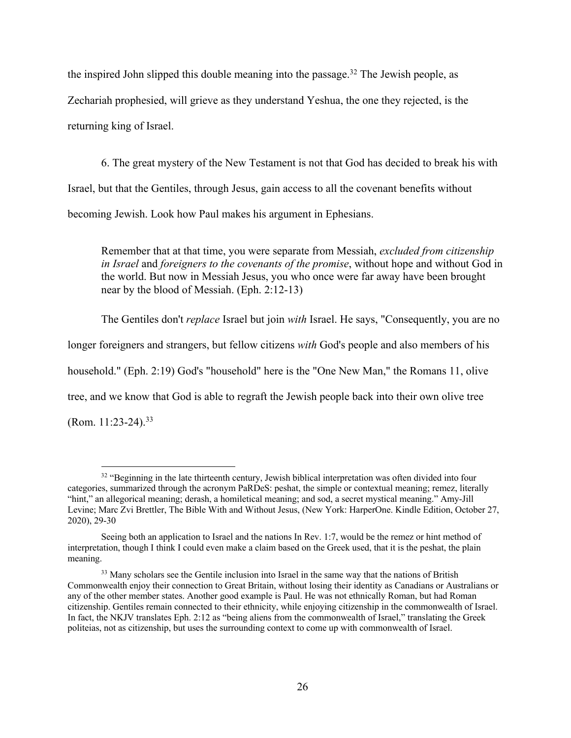the inspired John slipped this double meaning into the passage.<sup>32</sup> The Jewish people, as Zechariah prophesied, will grieve as they understand Yeshua, the one they rejected, is the returning king of Israel.

6. The great mystery of the New Testament is not that God has decided to break his with Israel, but that the Gentiles, through Jesus, gain access to all the covenant benefits without becoming Jewish. Look how Paul makes his argument in Ephesians.

Remember that at that time, you were separate from Messiah, *excluded from citizenship in Israel* and *foreigners to the covenants of the promise*, without hope and without God in the world. But now in Messiah Jesus, you who once were far away have been brought near by the blood of Messiah. (Eph. 2:12-13)

The Gentiles don't *replace* Israel but join *with* Israel. He says, "Consequently, you are no

longer foreigners and strangers, but fellow citizens *with* God's people and also members of his

household." (Eph. 2:19) God's "household" here is the "One New Man," the Romans 11, olive

tree, and we know that God is able to regraft the Jewish people back into their own olive tree

(Rom.  $11:23-24$ ).<sup>33</sup>

<sup>&</sup>lt;sup>32</sup> "Beginning in the late thirteenth century, Jewish biblical interpretation was often divided into four categories, summarized through the acronym PaRDeS: peshat, the simple or contextual meaning; remez, literally "hint," an allegorical meaning; derash, a homiletical meaning; and sod, a secret mystical meaning." Amy-Jill Levine; Marc Zvi Brettler, The Bible With and Without Jesus, (New York: HarperOne. Kindle Edition, October 27, 2020), 29-30

Seeing both an application to Israel and the nations In Rev. 1:7, would be the remez or hint method of interpretation, though I think I could even make a claim based on the Greek used, that it is the peshat, the plain meaning.

<sup>&</sup>lt;sup>33</sup> Many scholars see the Gentile inclusion into Israel in the same way that the nations of British Commonwealth enjoy their connection to Great Britain, without losing their identity as Canadians or Australians or any of the other member states. Another good example is Paul. He was not ethnically Roman, but had Roman citizenship. Gentiles remain connected to their ethnicity, while enjoying citizenship in the commonwealth of Israel. In fact, the NKJV translates Eph. 2:12 as "being aliens from the commonwealth of Israel," translating the Greek politeias, not as citizenship, but uses the surrounding context to come up with commonwealth of Israel.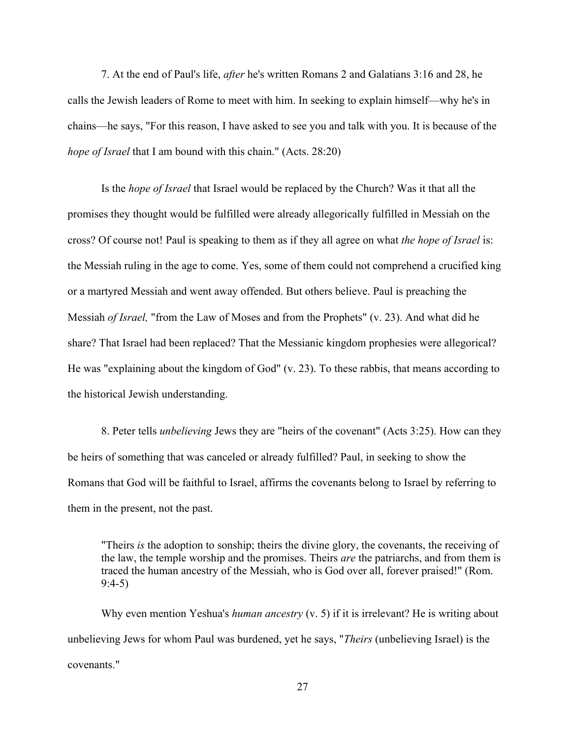7. At the end of Paul's life, *after* he's written Romans 2 and Galatians 3:16 and 28, he calls the Jewish leaders of Rome to meet with him. In seeking to explain himself—why he's in chains—he says, "For this reason, I have asked to see you and talk with you. It is because of the *hope of Israel* that I am bound with this chain." (Acts. 28:20)

Is the *hope of Israel* that Israel would be replaced by the Church? Was it that all the promises they thought would be fulfilled were already allegorically fulfilled in Messiah on the cross? Of course not! Paul is speaking to them as if they all agree on what *the hope of Israel* is: the Messiah ruling in the age to come. Yes, some of them could not comprehend a crucified king or a martyred Messiah and went away offended. But others believe. Paul is preaching the Messiah *of Israel,* "from the Law of Moses and from the Prophets" (v. 23). And what did he share? That Israel had been replaced? That the Messianic kingdom prophesies were allegorical? He was "explaining about the kingdom of God" (v. 23). To these rabbis, that means according to the historical Jewish understanding.

8. Peter tells *unbelieving* Jews they are "heirs of the covenant" (Acts 3:25). How can they be heirs of something that was canceled or already fulfilled? Paul, in seeking to show the Romans that God will be faithful to Israel, affirms the covenants belong to Israel by referring to them in the present, not the past.

"Theirs *is* the adoption to sonship; theirs the divine glory, the covenants, the receiving of the law, the temple worship and the promises. Theirs *are* the patriarchs, and from them is traced the human ancestry of the Messiah, who is God over all, forever praised!" (Rom. 9:4-5)

Why even mention Yeshua's *human ancestry* (v. 5) if it is irrelevant? He is writing about unbelieving Jews for whom Paul was burdened, yet he says, "*Theirs* (unbelieving Israel) is the covenants."